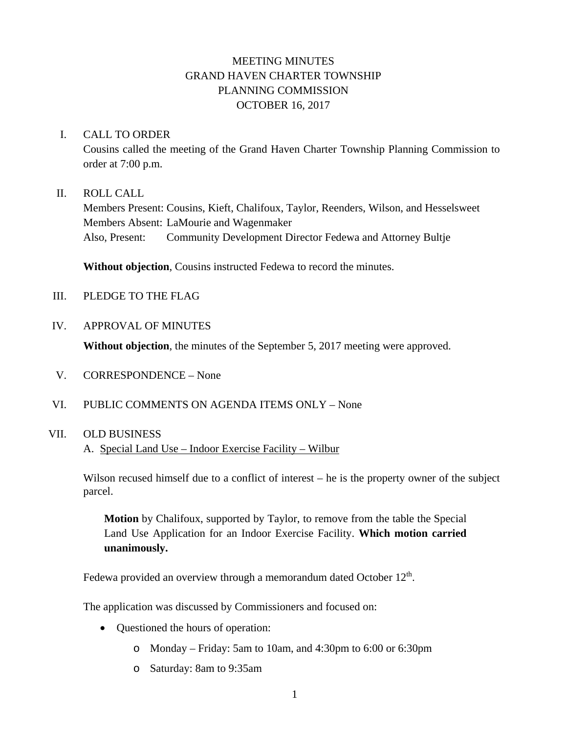## MEETING MINUTES GRAND HAVEN CHARTER TOWNSHIP PLANNING COMMISSION OCTOBER 16, 2017

#### I. CALL TO ORDER

Cousins called the meeting of the Grand Haven Charter Township Planning Commission to order at 7:00 p.m.

#### II. ROLL CALL

Members Present: Cousins, Kieft, Chalifoux, Taylor, Reenders, Wilson, and Hesselsweet Members Absent: LaMourie and Wagenmaker Also, Present: Community Development Director Fedewa and Attorney Bultje

**Without objection**, Cousins instructed Fedewa to record the minutes.

- III. PLEDGE TO THE FLAG
- IV. APPROVAL OF MINUTES

**Without objection**, the minutes of the September 5, 2017 meeting were approved.

- V. CORRESPONDENCE None
- VI. PUBLIC COMMENTS ON AGENDA ITEMS ONLY None

#### VII. OLD BUSINESS

A. Special Land Use – Indoor Exercise Facility – Wilbur

Wilson recused himself due to a conflict of interest – he is the property owner of the subject parcel.

**Motion** by Chalifoux, supported by Taylor, to remove from the table the Special Land Use Application for an Indoor Exercise Facility. **Which motion carried unanimously.**

Fedewa provided an overview through a memorandum dated October  $12<sup>th</sup>$ .

The application was discussed by Commissioners and focused on:

- Questioned the hours of operation:
	- o Monday Friday: 5am to 10am, and 4:30pm to 6:00 or 6:30pm
	- o Saturday: 8am to 9:35am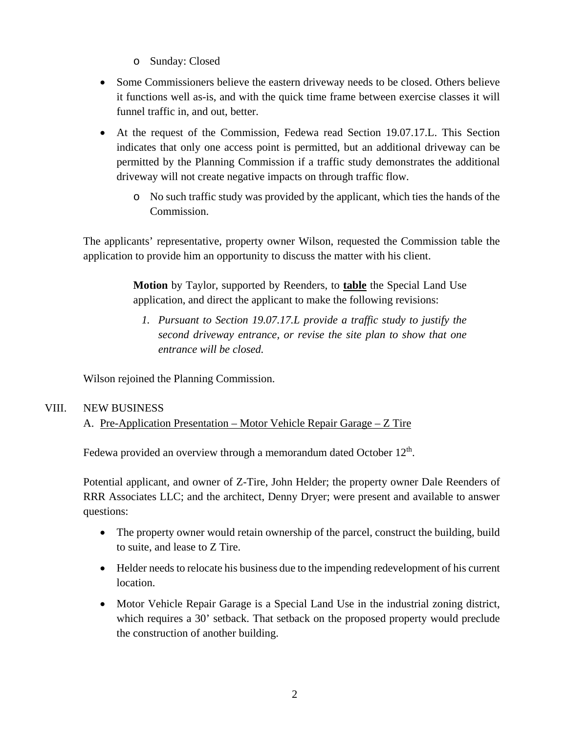- o Sunday: Closed
- Some Commissioners believe the eastern driveway needs to be closed. Others believe it functions well as-is, and with the quick time frame between exercise classes it will funnel traffic in, and out, better.
- At the request of the Commission, Fedewa read Section 19.07.17.L. This Section indicates that only one access point is permitted, but an additional driveway can be permitted by the Planning Commission if a traffic study demonstrates the additional driveway will not create negative impacts on through traffic flow.
	- o No such traffic study was provided by the applicant, which ties the hands of the Commission.

The applicants' representative, property owner Wilson, requested the Commission table the application to provide him an opportunity to discuss the matter with his client.

> **Motion** by Taylor, supported by Reenders, to **table** the Special Land Use application, and direct the applicant to make the following revisions:

*1. Pursuant to Section 19.07.17.L provide a traffic study to justify the second driveway entrance, or revise the site plan to show that one entrance will be closed.*

Wilson rejoined the Planning Commission.

### VIII. NEW BUSINESS

### A. Pre-Application Presentation – Motor Vehicle Repair Garage – Z Tire

Fedewa provided an overview through a memorandum dated October  $12<sup>th</sup>$ .

Potential applicant, and owner of Z-Tire, John Helder; the property owner Dale Reenders of RRR Associates LLC; and the architect, Denny Dryer; were present and available to answer questions:

- The property owner would retain ownership of the parcel, construct the building, build to suite, and lease to Z Tire.
- Helder needs to relocate his business due to the impending redevelopment of his current location.
- Motor Vehicle Repair Garage is a Special Land Use in the industrial zoning district, which requires a 30' setback. That setback on the proposed property would preclude the construction of another building.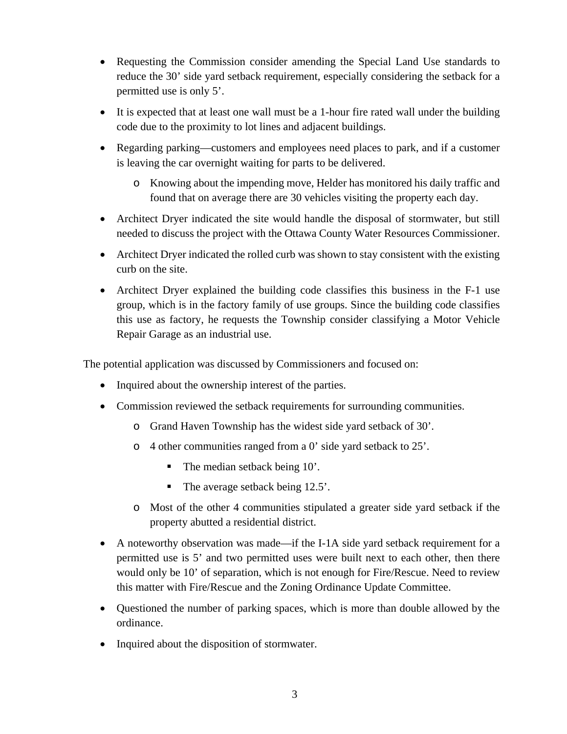- Requesting the Commission consider amending the Special Land Use standards to reduce the 30' side yard setback requirement, especially considering the setback for a permitted use is only 5'.
- It is expected that at least one wall must be a 1-hour fire rated wall under the building code due to the proximity to lot lines and adjacent buildings.
- Regarding parking—customers and employees need places to park, and if a customer is leaving the car overnight waiting for parts to be delivered.
	- o Knowing about the impending move, Helder has monitored his daily traffic and found that on average there are 30 vehicles visiting the property each day.
- Architect Dryer indicated the site would handle the disposal of stormwater, but still needed to discuss the project with the Ottawa County Water Resources Commissioner.
- Architect Dryer indicated the rolled curb was shown to stay consistent with the existing curb on the site.
- Architect Dryer explained the building code classifies this business in the F-1 use group, which is in the factory family of use groups. Since the building code classifies this use as factory, he requests the Township consider classifying a Motor Vehicle Repair Garage as an industrial use.

The potential application was discussed by Commissioners and focused on:

- Inquired about the ownership interest of the parties.
- Commission reviewed the setback requirements for surrounding communities.
	- o Grand Haven Township has the widest side yard setback of 30'.
	- o 4 other communities ranged from a 0' side yard setback to 25'.
		- The median setback being 10'.
		- $\blacksquare$  The average setback being 12.5'.
	- o Most of the other 4 communities stipulated a greater side yard setback if the property abutted a residential district.
- A noteworthy observation was made—if the I-1A side yard setback requirement for a permitted use is 5' and two permitted uses were built next to each other, then there would only be 10' of separation, which is not enough for Fire/Rescue. Need to review this matter with Fire/Rescue and the Zoning Ordinance Update Committee.
- Questioned the number of parking spaces, which is more than double allowed by the ordinance.
- Inquired about the disposition of stormwater.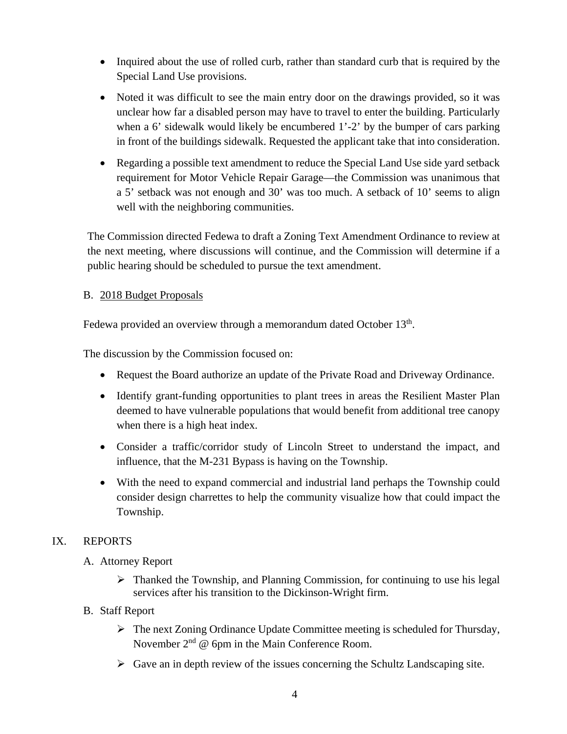- Inquired about the use of rolled curb, rather than standard curb that is required by the Special Land Use provisions.
- Noted it was difficult to see the main entry door on the drawings provided, so it was unclear how far a disabled person may have to travel to enter the building. Particularly when a 6' sidewalk would likely be encumbered 1'-2' by the bumper of cars parking in front of the buildings sidewalk. Requested the applicant take that into consideration.
- Regarding a possible text amendment to reduce the Special Land Use side yard setback requirement for Motor Vehicle Repair Garage—the Commission was unanimous that a 5' setback was not enough and 30' was too much. A setback of 10' seems to align well with the neighboring communities.

The Commission directed Fedewa to draft a Zoning Text Amendment Ordinance to review at the next meeting, where discussions will continue, and the Commission will determine if a public hearing should be scheduled to pursue the text amendment.

### B. 2018 Budget Proposals

Fedewa provided an overview through a memorandum dated October 13<sup>th</sup>.

The discussion by the Commission focused on:

- Request the Board authorize an update of the Private Road and Driveway Ordinance.
- Identify grant-funding opportunities to plant trees in areas the Resilient Master Plan deemed to have vulnerable populations that would benefit from additional tree canopy when there is a high heat index.
- Consider a traffic/corridor study of Lincoln Street to understand the impact, and influence, that the M-231 Bypass is having on the Township.
- With the need to expand commercial and industrial land perhaps the Township could consider design charrettes to help the community visualize how that could impact the Township.

## IX. REPORTS

- A. Attorney Report
	- $\triangleright$  Thanked the Township, and Planning Commission, for continuing to use his legal services after his transition to the Dickinson-Wright firm.
- B. Staff Report
	- The next Zoning Ordinance Update Committee meeting is scheduled for Thursday, November  $2<sup>nd</sup>$  @ 6pm in the Main Conference Room.
	- $\triangleright$  Gave an in depth review of the issues concerning the Schultz Landscaping site.